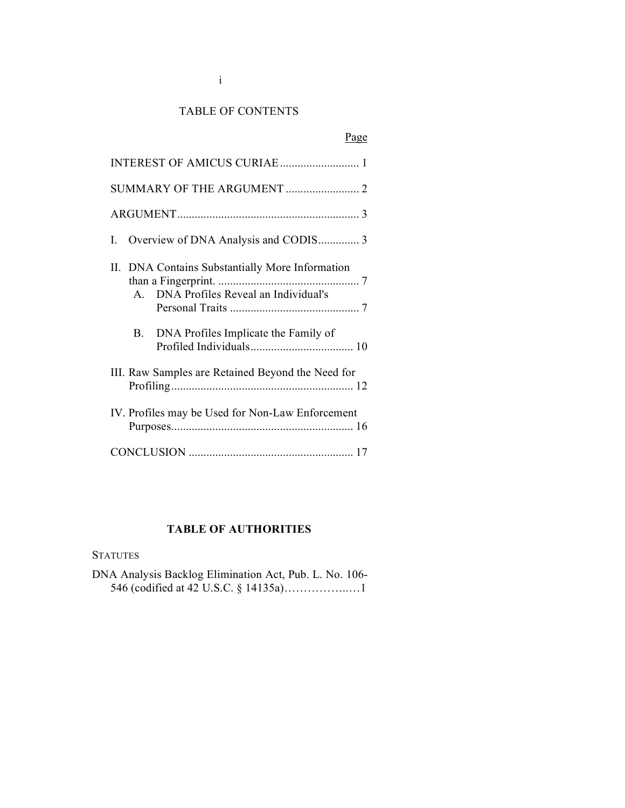## TABLE OF CONTENTS

# Page

| INTEREST OF AMICUS CURIAE 1                                                                            |
|--------------------------------------------------------------------------------------------------------|
| SUMMARY OF THE ARGUMENT  2                                                                             |
|                                                                                                        |
| L                                                                                                      |
| II. DNA Contains Substantially More Information<br>DNA Profiles Reveal an Individual's<br>$\mathbf{A}$ |
| DNA Profiles Implicate the Family of<br>$B_{\cdot}$                                                    |
| III. Raw Samples are Retained Beyond the Need for                                                      |
| IV. Profiles may be Used for Non-Law Enforcement                                                       |
|                                                                                                        |

# **TABLE OF AUTHORITIES**

#### **STATUTES**

DNA Analysis Backlog Elimination Act, Pub. L. No. 106- 546 (codified at 42 U.S.C. § 14135a)……………..…1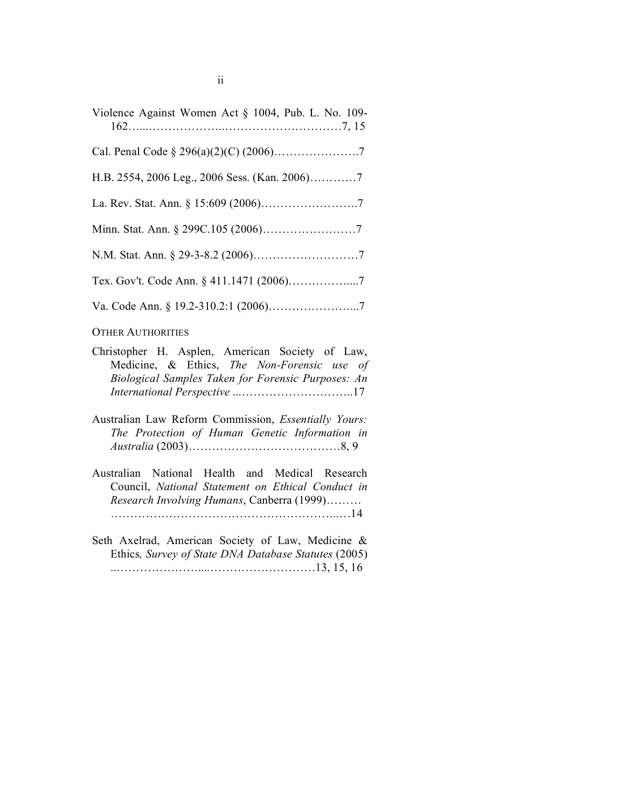| Violence Against Women Act § 1004, Pub. L. No. 109- |
|-----------------------------------------------------|
|                                                     |
|                                                     |
|                                                     |
|                                                     |
|                                                     |
|                                                     |
|                                                     |

#### OTHER AUTHORITIES

- Christopher H. Asplen, American Society of Law, Medicine, & Ethics, *The Non-Forensic use of Biological Samples Taken for Forensic Purposes: An International Perspective* ...………………………..17
- Australian Law Reform Commission, *Essentially Yours: The Protection of Human Genetic Information in Australia* (2003)…………………………………8, 9
- Australian National Health and Medical Research Council, *National Statement on Ethical Conduct in Research Involving Humans*, Canberra (1999)……… …………………………………………………..…14
- Seth Axelrad, American Society of Law, Medicine & Ethics*, Survey of State DNA Database Statutes* (2005) ..…………………....………………………13, 15, 16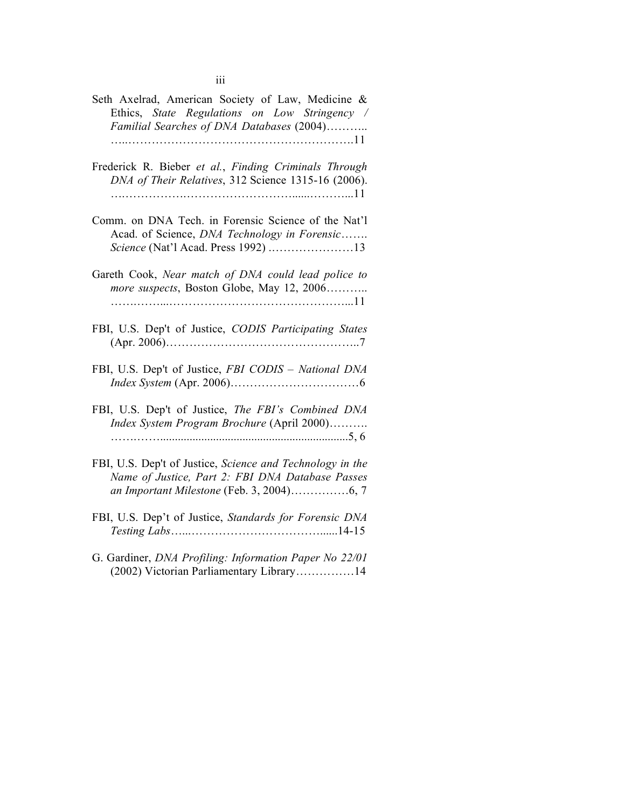| Seth Axelrad, American Society of Law, Medicine &<br>Ethics, State Regulations on Low Stringency /<br>Familial Searches of DNA Databases (2004)            |
|------------------------------------------------------------------------------------------------------------------------------------------------------------|
| Frederick R. Bieber et al., Finding Criminals Through<br>DNA of Their Relatives, 312 Science 1315-16 (2006).                                               |
| Comm. on DNA Tech. in Forensic Science of the Nat'l<br>Acad. of Science, DNA Technology in Forensic<br>Science (Nat'l Acad. Press 1992) 13                 |
| Gareth Cook, Near match of DNA could lead police to<br>more suspects, Boston Globe, May 12, 2006                                                           |
| FBI, U.S. Dep't of Justice, CODIS Participating States                                                                                                     |
| FBI, U.S. Dep't of Justice, FBI CODIS - National DNA                                                                                                       |
| FBI, U.S. Dep't of Justice, The FBI's Combined DNA<br>Index System Program Brochure (April 2000)                                                           |
| FBI, U.S. Dep't of Justice, Science and Technology in the<br>Name of Justice, Part 2: FBI DNA Database Passes<br>an Important Milestone (Feb. 3, 2004)6, 7 |
| FBI, U.S. Dep't of Justice, Standards for Forensic DNA                                                                                                     |
| $C$ Condinger $DMA$ $DusBlim, Indomation$ $Dum, M_2$ 22/01                                                                                                 |

G. Gardiner, *DNA Profiling: Information Paper No 22/01* (2002) Victorian Parliamentary Library……………14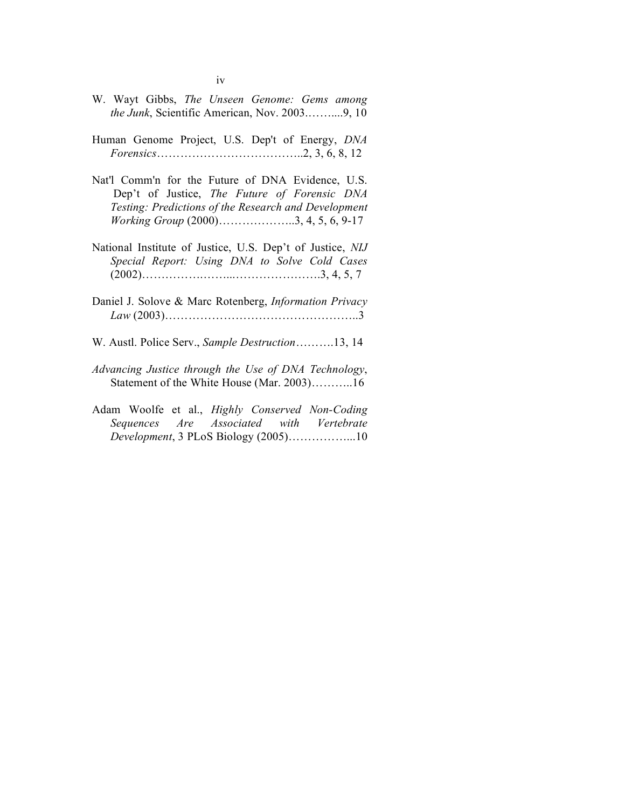- W. Wayt Gibbs, *The Unseen Genome: Gems among the Junk*, Scientific American, Nov. 2003.……....9, 10
- Human Genome Project, U.S. Dep't of Energy, *DNA Forensics*………………………………..2, 3, 6, 8, 12
- Nat'l Comm'n for the Future of DNA Evidence, U.S. Dep't of Justice, *The Future of Forensic DNA Testing: Predictions of the Research and Development Working Group* (2000)………………..3, 4, 5, 6, 9-17
- National Institute of Justice, U.S. Dep't of Justice, *NIJ Special Report: Using DNA to Solve Cold Cases* (2002)…………….……...………………….3, 4, 5, 7
- Daniel J. Solove & Marc Rotenberg, *Information Privacy Law* (2003)…………………………………………..3
- W. Austl. Police Serv., *Sample Destruction*……….13, 14
- *Advancing Justice through the Use of DNA Technology*, Statement of the White House (Mar. 2003)………..16
- Adam Woolfe et al., *Highly Conserved Non-Coding Sequences Are Associated with Vertebrate Development*, 3 PLoS Biology (2005)……………...10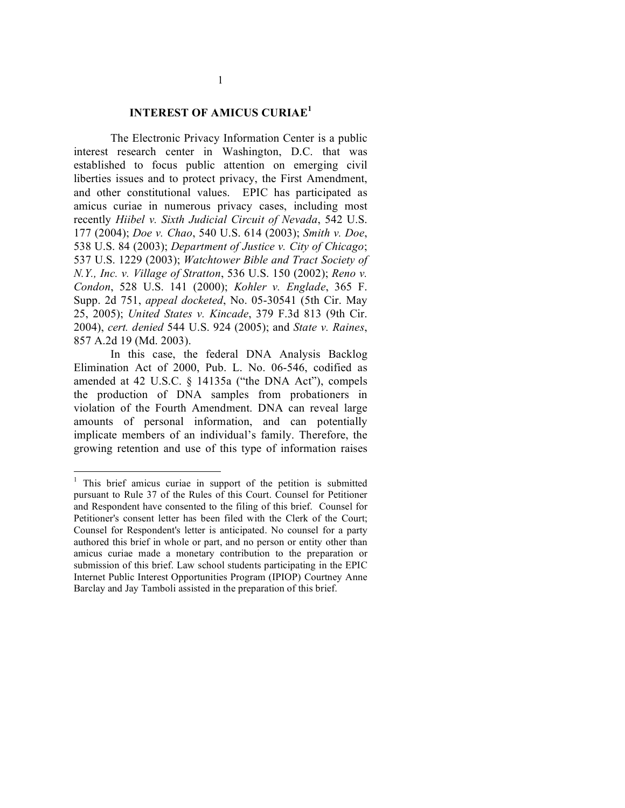### **INTEREST OF AMICUS CURIAE<sup>1</sup>**

The Electronic Privacy Information Center is a public interest research center in Washington, D.C. that was established to focus public attention on emerging civil liberties issues and to protect privacy, the First Amendment, and other constitutional values. EPIC has participated as amicus curiae in numerous privacy cases, including most recently *Hiibel v. Sixth Judicial Circuit of Nevada*, 542 U.S. 177 (2004); *Doe v. Chao*, 540 U.S. 614 (2003); *Smith v. Doe*, 538 U.S. 84 (2003); *Department of Justice v. City of Chicago*; 537 U.S. 1229 (2003); *Watchtower Bible and Tract Society of N.Y., Inc. v. Village of Stratton*, 536 U.S. 150 (2002); *Reno v. Condon*, 528 U.S. 141 (2000); *Kohler v. Englade*, 365 F. Supp. 2d 751, *appeal docketed*, No. 05-30541 (5th Cir. May 25, 2005); *United States v. Kincade*, 379 F.3d 813 (9th Cir. 2004), *cert. denied* 544 U.S. 924 (2005); and *State v. Raines*, 857 A.2d 19 (Md. 2003).

In this case, the federal DNA Analysis Backlog Elimination Act of 2000, Pub. L. No. 06-546, codified as amended at 42 U.S.C. § 14135a ("the DNA Act"), compels the production of DNA samples from probationers in violation of the Fourth Amendment. DNA can reveal large amounts of personal information, and can potentially implicate members of an individual's family. Therefore, the growing retention and use of this type of information raises

<sup>&</sup>lt;sup>1</sup> This brief amicus curiae in support of the petition is submitted pursuant to Rule 37 of the Rules of this Court. Counsel for Petitioner and Respondent have consented to the filing of this brief. Counsel for Petitioner's consent letter has been filed with the Clerk of the Court; Counsel for Respondent's letter is anticipated. No counsel for a party authored this brief in whole or part, and no person or entity other than amicus curiae made a monetary contribution to the preparation or submission of this brief. Law school students participating in the EPIC Internet Public Interest Opportunities Program (IPIOP) Courtney Anne Barclay and Jay Tamboli assisted in the preparation of this brief.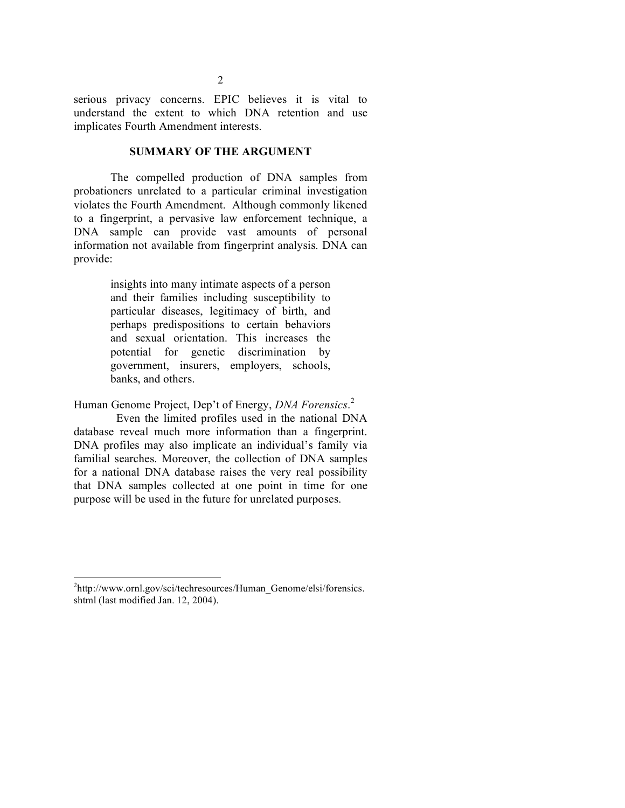serious privacy concerns. EPIC believes it is vital to understand the extent to which DNA retention and use implicates Fourth Amendment interests.

#### **SUMMARY OF THE ARGUMENT**

The compelled production of DNA samples from probationers unrelated to a particular criminal investigation violates the Fourth Amendment. Although commonly likened to a fingerprint, a pervasive law enforcement technique, a DNA sample can provide vast amounts of personal information not available from fingerprint analysis. DNA can provide:

> insights into many intimate aspects of a person and their families including susceptibility to particular diseases, legitimacy of birth, and perhaps predispositions to certain behaviors and sexual orientation. This increases the potential for genetic discrimination by government, insurers, employers, schools, banks, and others.

Human Genome Project, Dep't of Energy, *DNA Forensics*. 2

Even the limited profiles used in the national DNA database reveal much more information than a fingerprint. DNA profiles may also implicate an individual's family via familial searches. Moreover, the collection of DNA samples for a national DNA database raises the very real possibility that DNA samples collected at one point in time for one purpose will be used in the future for unrelated purposes.

 $\frac{1}{2}$ <sup>2</sup>http://www.ornl.gov/sci/techresources/Human\_Genome/elsi/forensics. shtml (last modified Jan. 12, 2004).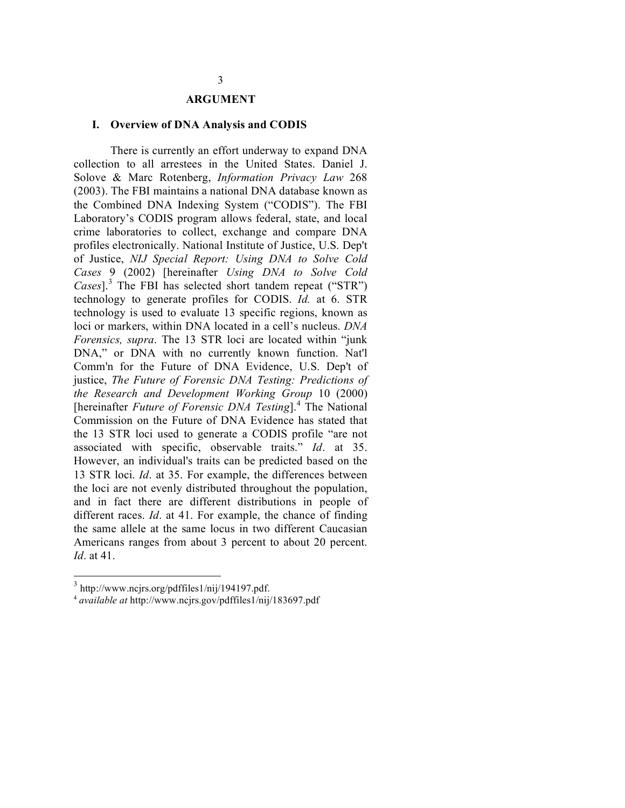#### **ARGUMENT**

#### **I. Overview of DNA Analysis and CODIS**

There is currently an effort underway to expand DNA collection to all arrestees in the United States. Daniel J. Solove & Marc Rotenberg, *Information Privacy Law* 268 (2003). The FBI maintains a national DNA database known as the Combined DNA Indexing System ("CODIS"). The FBI Laboratory's CODIS program allows federal, state, and local crime laboratories to collect, exchange and compare DNA profiles electronically. National Institute of Justice, U.S. Dep't of Justice, *NIJ Special Report: Using DNA to Solve Cold Cases* 9 (2002) [hereinafter *Using DNA to Solve Cold Cases*]. <sup>3</sup> The FBI has selected short tandem repeat ("STR") technology to generate profiles for CODIS. *Id.* at 6. STR technology is used to evaluate 13 specific regions, known as loci or markers, within DNA located in a cell's nucleus. *DNA Forensics, supra*. The 13 STR loci are located within "junk DNA," or DNA with no currently known function. Nat'l Comm'n for the Future of DNA Evidence, U.S. Dep't of justice, *The Future of Forensic DNA Testing: Predictions of the Research and Development Working Group* 10 (2000) [hereinafter *Future of Forensic DNA Testing*]. <sup>4</sup> The National Commission on the Future of DNA Evidence has stated that the 13 STR loci used to generate a CODIS profile "are not associated with specific, observable traits." *Id*. at 35. However, an individual's traits can be predicted based on the 13 STR loci. *Id*. at 35. For example, the differences between the loci are not evenly distributed throughout the population, and in fact there are different distributions in people of different races. *Id*. at 41. For example, the chance of finding the same allele at the same locus in two different Caucasian Americans ranges from about 3 percent to about 20 percent. *Id*. at 41.

 <sup>3</sup> http://www.ncjrs.org/pdffiles1/nij/194197.pdf.

<sup>4</sup> *available at* http://www.ncjrs.gov/pdffiles1/nij/183697.pdf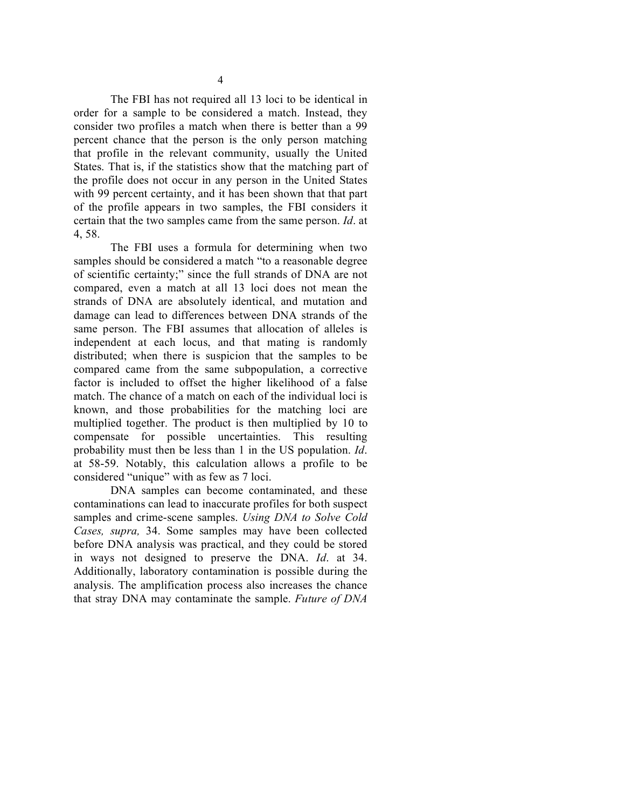The FBI has not required all 13 loci to be identical in order for a sample to be considered a match. Instead, they consider two profiles a match when there is better than a 99 percent chance that the person is the only person matching that profile in the relevant community, usually the United States. That is, if the statistics show that the matching part of the profile does not occur in any person in the United States with 99 percent certainty, and it has been shown that that part of the profile appears in two samples, the FBI considers it certain that the two samples came from the same person. *Id*. at 4, 58.

The FBI uses a formula for determining when two samples should be considered a match "to a reasonable degree of scientific certainty;" since the full strands of DNA are not compared, even a match at all 13 loci does not mean the strands of DNA are absolutely identical, and mutation and damage can lead to differences between DNA strands of the same person. The FBI assumes that allocation of alleles is independent at each locus, and that mating is randomly distributed; when there is suspicion that the samples to be compared came from the same subpopulation, a corrective factor is included to offset the higher likelihood of a false match. The chance of a match on each of the individual loci is known, and those probabilities for the matching loci are multiplied together. The product is then multiplied by 10 to compensate for possible uncertainties. This resulting probability must then be less than 1 in the US population. *Id*. at 58-59. Notably, this calculation allows a profile to be considered "unique" with as few as 7 loci.

DNA samples can become contaminated, and these contaminations can lead to inaccurate profiles for both suspect samples and crime-scene samples. *Using DNA to Solve Cold Cases, supra,* 34. Some samples may have been collected before DNA analysis was practical, and they could be stored in ways not designed to preserve the DNA. *Id*. at 34. Additionally, laboratory contamination is possible during the analysis. The amplification process also increases the chance that stray DNA may contaminate the sample. *Future of DNA*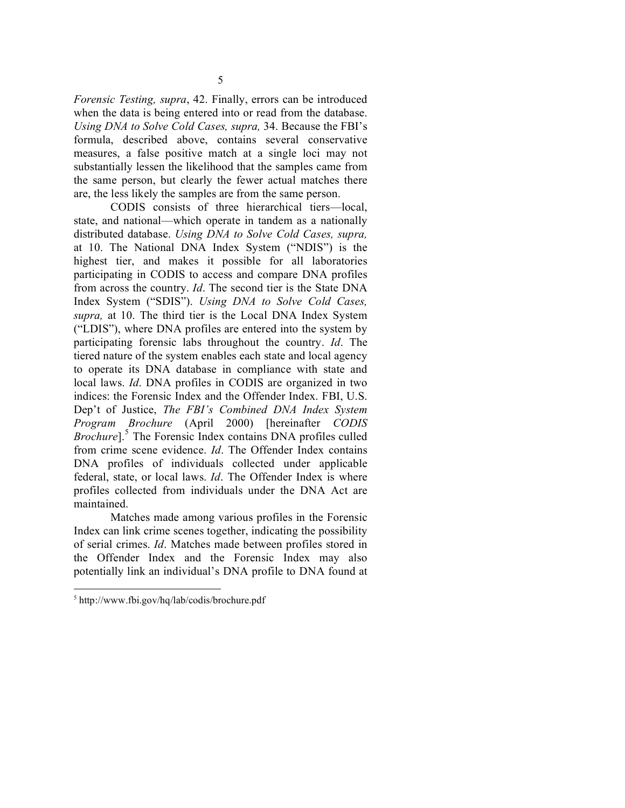*Forensic Testing, supra*, 42. Finally, errors can be introduced when the data is being entered into or read from the database. *Using DNA to Solve Cold Cases, supra,* 34. Because the FBI's formula, described above, contains several conservative measures, a false positive match at a single loci may not substantially lessen the likelihood that the samples came from the same person, but clearly the fewer actual matches there are, the less likely the samples are from the same person.

CODIS consists of three hierarchical tiers—local, state, and national—which operate in tandem as a nationally distributed database. *Using DNA to Solve Cold Cases, supra,* at 10. The National DNA Index System ("NDIS") is the highest tier, and makes it possible for all laboratories participating in CODIS to access and compare DNA profiles from across the country. *Id*. The second tier is the State DNA Index System ("SDIS"). *Using DNA to Solve Cold Cases, supra,* at 10. The third tier is the Local DNA Index System ("LDIS"), where DNA profiles are entered into the system by participating forensic labs throughout the country. *Id*. The tiered nature of the system enables each state and local agency to operate its DNA database in compliance with state and local laws. *Id*. DNA profiles in CODIS are organized in two indices: the Forensic Index and the Offender Index. FBI, U.S. Dep't of Justice, *The FBI's Combined DNA Index System Program Brochure* (April 2000) [hereinafter *CODIS Brochure*]. <sup>5</sup> The Forensic Index contains DNA profiles culled from crime scene evidence. *Id*. The Offender Index contains DNA profiles of individuals collected under applicable federal, state, or local laws. *Id*. The Offender Index is where profiles collected from individuals under the DNA Act are maintained.

Matches made among various profiles in the Forensic Index can link crime scenes together, indicating the possibility of serial crimes. *Id*. Matches made between profiles stored in the Offender Index and the Forensic Index may also potentially link an individual's DNA profile to DNA found at

 <sup>5</sup> http://www.fbi.gov/hq/lab/codis/brochure.pdf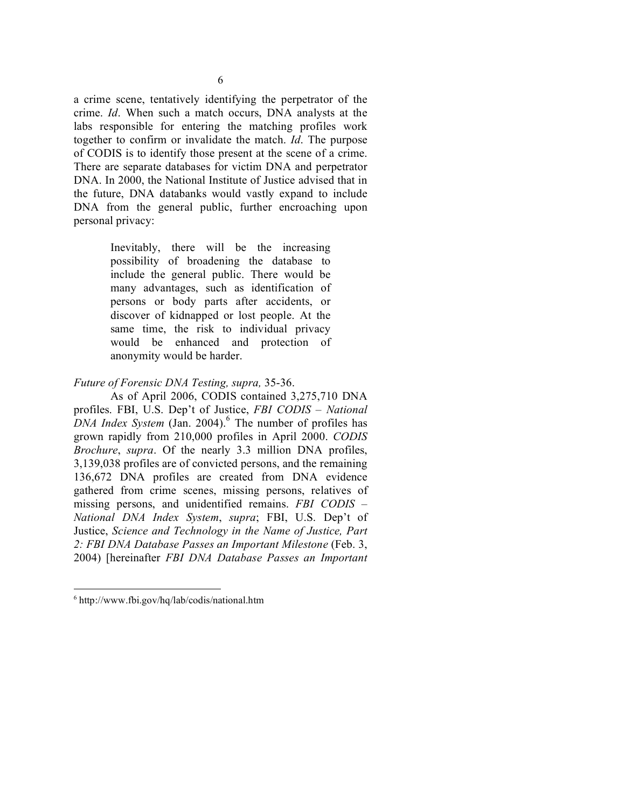a crime scene, tentatively identifying the perpetrator of the crime. *Id*. When such a match occurs, DNA analysts at the labs responsible for entering the matching profiles work together to confirm or invalidate the match. *Id*. The purpose of CODIS is to identify those present at the scene of a crime. There are separate databases for victim DNA and perpetrator DNA. In 2000, the National Institute of Justice advised that in the future, DNA databanks would vastly expand to include DNA from the general public, further encroaching upon personal privacy:

> Inevitably, there will be the increasing possibility of broadening the database to include the general public. There would be many advantages, such as identification of persons or body parts after accidents, or discover of kidnapped or lost people. At the same time, the risk to individual privacy would be enhanced and protection of anonymity would be harder.

### *Future of Forensic DNA Testing, supra,* 35-36.

As of April 2006, CODIS contained 3,275,710 DNA profiles. FBI, U.S. Dep't of Justice, *FBI CODIS – National DNA Index System* (Jan. 2004). <sup>6</sup> The number of profiles has grown rapidly from 210,000 profiles in April 2000. *CODIS Brochure*, *supra*. Of the nearly 3.3 million DNA profiles, 3,139,038 profiles are of convicted persons, and the remaining 136,672 DNA profiles are created from DNA evidence gathered from crime scenes, missing persons, relatives of missing persons, and unidentified remains. *FBI CODIS – National DNA Index System*, *supra*; FBI, U.S. Dep't of Justice, *Science and Technology in the Name of Justice, Part 2: FBI DNA Database Passes an Important Milestone* (Feb. 3, 2004) [hereinafter *FBI DNA Database Passes an Important*

 <sup>6</sup> http://www.fbi.gov/hq/lab/codis/national.htm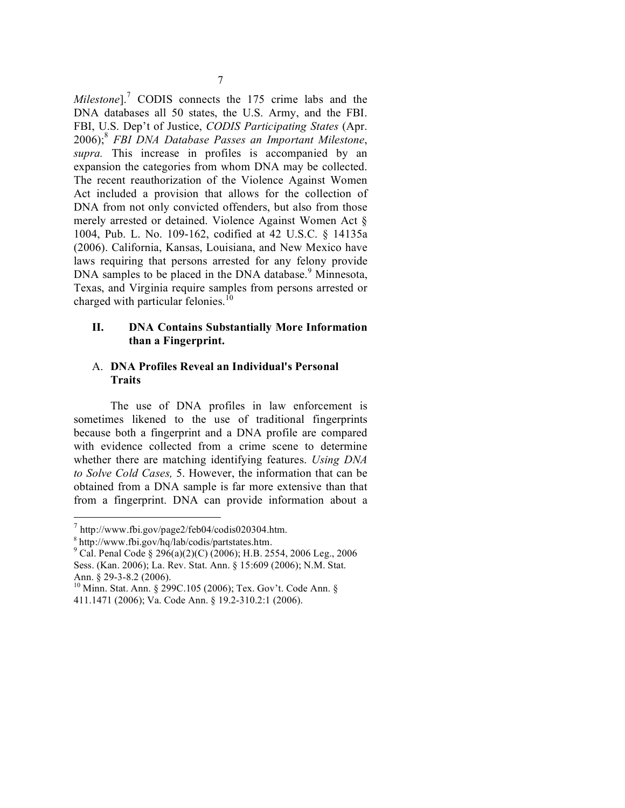*Milestone*]. <sup>7</sup> CODIS connects the 175 crime labs and the DNA databases all 50 states, the U.S. Army, and the FBI. FBI, U.S. Dep't of Justice, *CODIS Participating States* (Apr. 2006); <sup>8</sup> *FBI DNA Database Passes an Important Milestone*, *supra.* This increase in profiles is accompanied by an expansion the categories from whom DNA may be collected. The recent reauthorization of the Violence Against Women Act included a provision that allows for the collection of DNA from not only convicted offenders, but also from those merely arrested or detained. Violence Against Women Act § 1004, Pub. L. No. 109-162, codified at 42 U.S.C. § 14135a (2006). California, Kansas, Louisiana, and New Mexico have laws requiring that persons arrested for any felony provide DNA samples to be placed in the DNA database.<sup>9</sup> Minnesota, Texas, and Virginia require samples from persons arrested or charged with particular felonies.<sup>10</sup>

#### **II. DNA Contains Substantially More Information than a Fingerprint.**

### A. **DNA Profiles Reveal an Individual's Personal Traits**

The use of DNA profiles in law enforcement is sometimes likened to the use of traditional fingerprints because both a fingerprint and a DNA profile are compared with evidence collected from a crime scene to determine whether there are matching identifying features. *Using DNA to Solve Cold Cases,* 5. However, the information that can be obtained from a DNA sample is far more extensive than that from a fingerprint. DNA can provide information about a

 $^7$  http://www.fbi.gov/page2/feb04/codis020304.htm.

 $8 \text{ http://www.fbi.gov/hq/lab/codis/partstates.htm.}$ <br> $9 \text{ Cal. Penal Code § } 296(a)(2)(C) (2006); \text{H.B. } 2554, 2006 \text{ Leg.}, 2006$ Sess. (Kan. 2006); La. Rev. Stat. Ann. § 15:609 (2006); N.M. Stat. Ann. § 29-3-8.2 (2006).<br><sup>10</sup> Minn. Stat. Ann. § 299C.105 (2006); Tex. Gov't. Code Ann. §

<sup>411.1471</sup> (2006); Va. Code Ann. § 19.2-310.2:1 (2006).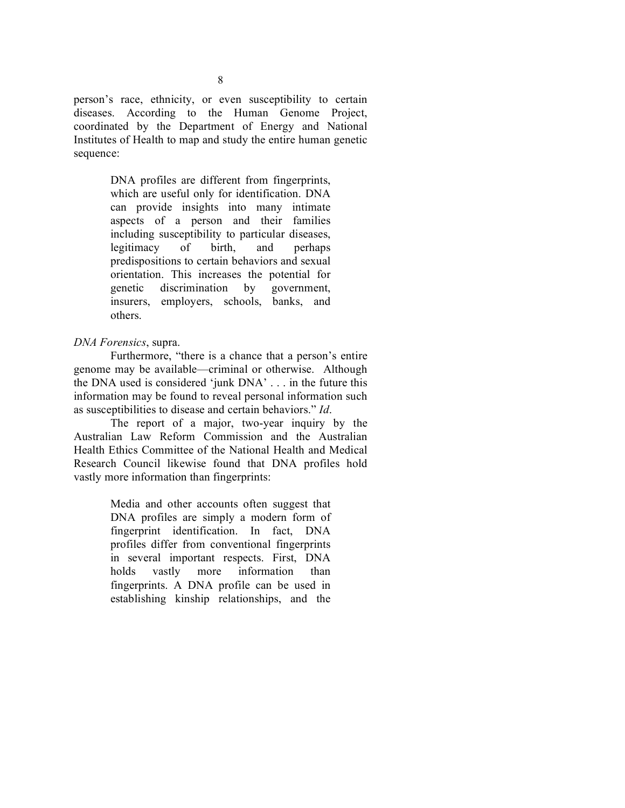person's race, ethnicity, or even susceptibility to certain diseases. According to the Human Genome Project, coordinated by the Department of Energy and National Institutes of Health to map and study the entire human genetic sequence:

> DNA profiles are different from fingerprints, which are useful only for identification. DNA can provide insights into many intimate aspects of a person and their families including susceptibility to particular diseases, legitimacy of birth, and perhaps predispositions to certain behaviors and sexual orientation. This increases the potential for genetic discrimination by government, insurers, employers, schools, banks, and others.

### *DNA Forensics*, supra.

Furthermore, "there is a chance that a person's entire genome may be available—criminal or otherwise. Although the DNA used is considered 'junk DNA' . . . in the future this information may be found to reveal personal information such as susceptibilities to disease and certain behaviors." *Id*.

The report of a major, two-year inquiry by the Australian Law Reform Commission and the Australian Health Ethics Committee of the National Health and Medical Research Council likewise found that DNA profiles hold vastly more information than fingerprints:

> Media and other accounts often suggest that DNA profiles are simply a modern form of fingerprint identification. In fact, DNA profiles differ from conventional fingerprints in several important respects. First, DNA holds vastly more information than fingerprints. A DNA profile can be used in establishing kinship relationships, and the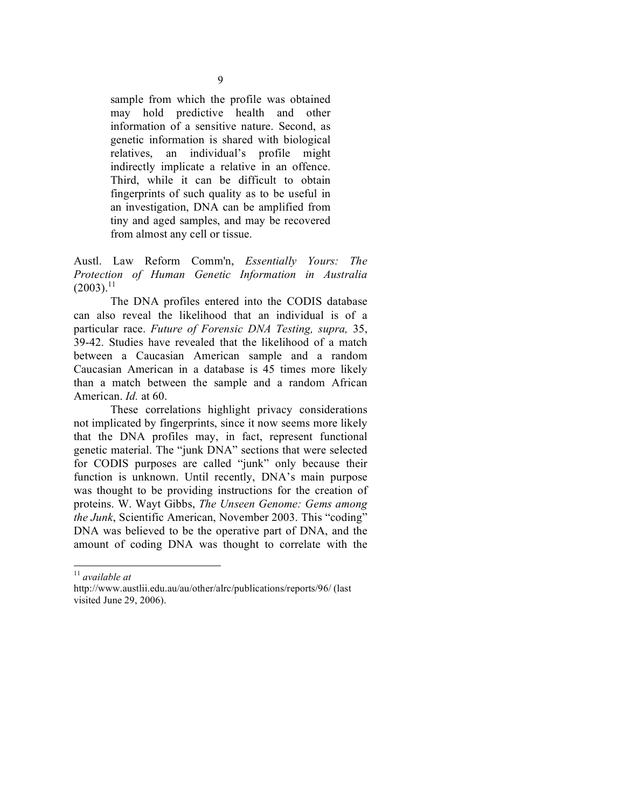sample from which the profile was obtained may hold predictive health and other information of a sensitive nature. Second, as genetic information is shared with biological relatives, an individual's profile might indirectly implicate a relative in an offence. Third, while it can be difficult to obtain fingerprints of such quality as to be useful in an investigation, DNA can be amplified from tiny and aged samples, and may be recovered from almost any cell or tissue.

Austl. Law Reform Comm'n, *Essentially Yours: The Protection of Human Genetic Information in Australia*  $(2003).$ <sup>11</sup>

The DNA profiles entered into the CODIS database can also reveal the likelihood that an individual is of a particular race. *Future of Forensic DNA Testing, supra,* 35, 39-42. Studies have revealed that the likelihood of a match between a Caucasian American sample and a random Caucasian American in a database is 45 times more likely than a match between the sample and a random African American. *Id.* at 60.

These correlations highlight privacy considerations not implicated by fingerprints, since it now seems more likely that the DNA profiles may, in fact, represent functional genetic material. The "junk DNA" sections that were selected for CODIS purposes are called "junk" only because their function is unknown. Until recently, DNA's main purpose was thought to be providing instructions for the creation of proteins. W. Wayt Gibbs, *The Unseen Genome: Gems among the Junk*, Scientific American, November 2003. This "coding" DNA was believed to be the operative part of DNA, and the amount of coding DNA was thought to correlate with the

 <sup>11</sup> *available at*

http://www.austlii.edu.au/au/other/alrc/publications/reports/96/ (last visited June 29, 2006).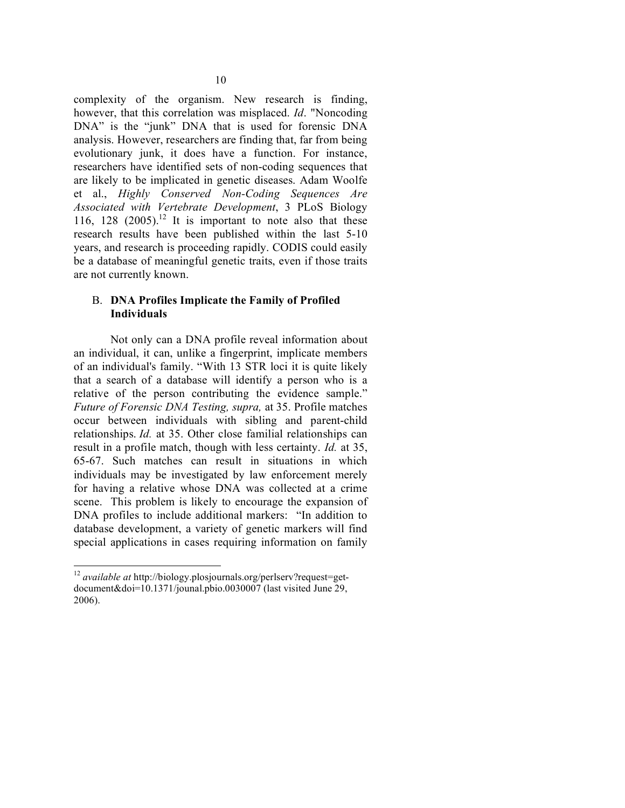complexity of the organism. New research is finding, however, that this correlation was misplaced. *Id*. "Noncoding DNA" is the "junk" DNA that is used for forensic DNA analysis. However, researchers are finding that, far from being evolutionary junk, it does have a function. For instance, researchers have identified sets of non-coding sequences that are likely to be implicated in genetic diseases. Adam Woolfe et al., *Highly Conserved Non-Coding Sequences Are Associated with Vertebrate Development*, 3 PLoS Biology 116, 128  $(2005).$ <sup>12</sup> It is important to note also that these research results have been published within the last 5-10 years, and research is proceeding rapidly. CODIS could easily be a database of meaningful genetic traits, even if those traits are not currently known.

# B. **DNA Profiles Implicate the Family of Profiled Individuals**

Not only can a DNA profile reveal information about an individual, it can, unlike a fingerprint, implicate members of an individual's family. "With 13 STR loci it is quite likely that a search of a database will identify a person who is a relative of the person contributing the evidence sample." *Future of Forensic DNA Testing, supra,* at 35. Profile matches occur between individuals with sibling and parent-child relationships. *Id.* at 35. Other close familial relationships can result in a profile match, though with less certainty. *Id.* at 35, 65-67. Such matches can result in situations in which individuals may be investigated by law enforcement merely for having a relative whose DNA was collected at a crime scene. This problem is likely to encourage the expansion of DNA profiles to include additional markers: "In addition to database development, a variety of genetic markers will find special applications in cases requiring information on family

 <sup>12</sup> *available at* http://biology.plosjournals.org/perlserv?request=getdocument&doi=10.1371/jounal.pbio.0030007 (last visited June 29, 2006).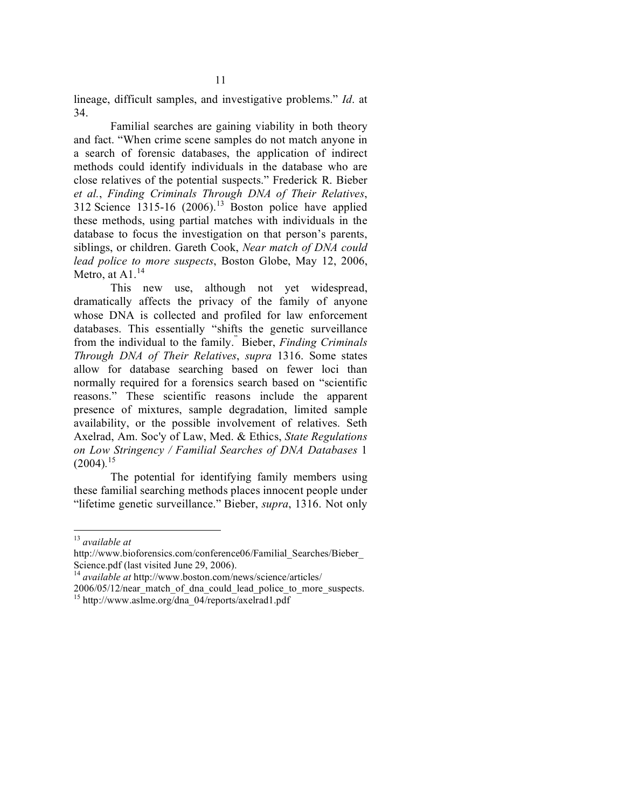lineage, difficult samples, and investigative problems." *Id*. at 34.

Familial searches are gaining viability in both theory and fact. "When crime scene samples do not match anyone in a search of forensic databases, the application of indirect methods could identify individuals in the database who are close relatives of the potential suspects." Frederick R. Bieber *et al.*, *Finding Criminals Through DNA of Their Relatives*, 312 Science  $1315-16$  (2006).<sup>13</sup> Boston police have applied these methods, using partial matches with individuals in the database to focus the investigation on that person's parents, siblings, or children. Gareth Cook, *Near match of DNA could lead police to more suspects*, Boston Globe, May 12, 2006, Metro, at A $1<sup>14</sup>$ 

This new use, although not yet widespread, dramatically affects the privacy of the family of anyone whose DNA is collected and profiled for law enforcement databases. This essentially "shifts the genetic surveillance from the individual to the family. " Bieber, *Finding Criminals Through DNA of Their Relatives*, *supra* 1316. Some states allow for database searching based on fewer loci than normally required for a forensics search based on "scientific reasons." These scientific reasons include the apparent presence of mixtures, sample degradation, limited sample availability, or the possible involvement of relatives. Seth Axelrad, Am. Soc'y of Law, Med. & Ethics, *State Regulations on Low Stringency / Familial Searches of DNA Databases* 1 (2004)*.* 15

The potential for identifying family members using these familial searching methods places innocent people under "lifetime genetic surveillance." Bieber, *supra*, 1316. Not only

 <sup>13</sup> *available at*

http://www.bioforensics.com/conference06/Familial\_Searches/Bieber\_<br>Science.pdf (last visited June 29, 2006).

<sup>&</sup>lt;sup>14</sup> *available at* http://www.boston.com/news/science/articles/

<sup>2006/05/12/</sup>near\_match\_of\_dna\_could\_lead\_police\_to\_more\_suspects. <sup>15</sup> http://www.aslme.org/dna\_04/reports/axelrad1.pdf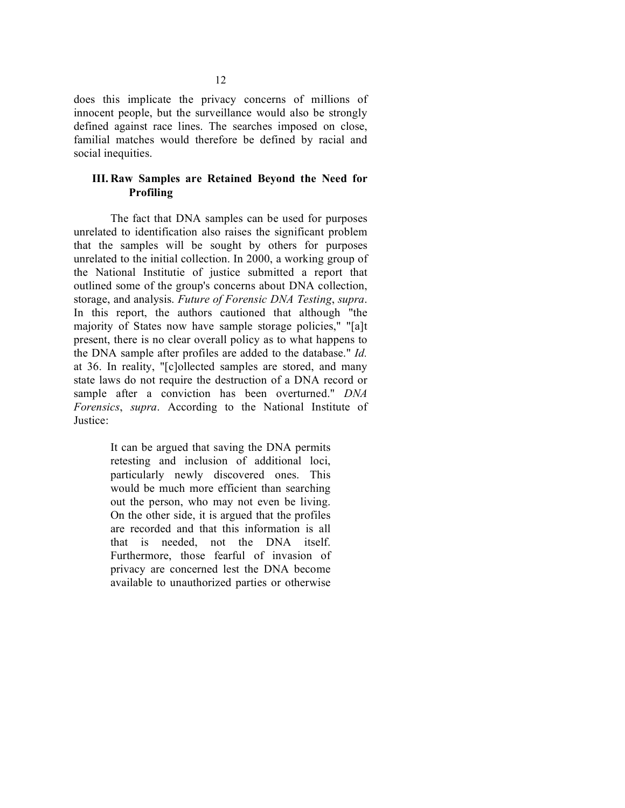does this implicate the privacy concerns of millions of innocent people, but the surveillance would also be strongly defined against race lines. The searches imposed on close, familial matches would therefore be defined by racial and social inequities.

# **III. Raw Samples are Retained Beyond the Need for Profiling**

The fact that DNA samples can be used for purposes unrelated to identification also raises the significant problem that the samples will be sought by others for purposes unrelated to the initial collection. In 2000, a working group of the National Institutie of justice submitted a report that outlined some of the group's concerns about DNA collection, storage, and analysis. *Future of Forensic DNA Testing*, *supra*. In this report, the authors cautioned that although "the majority of States now have sample storage policies," "[a]t present, there is no clear overall policy as to what happens to the DNA sample after profiles are added to the database." *Id.* at 36. In reality, "[c]ollected samples are stored, and many state laws do not require the destruction of a DNA record or sample after a conviction has been overturned." *DNA Forensics*, *supra*. According to the National Institute of Justice:

> It can be argued that saving the DNA permits retesting and inclusion of additional loci, particularly newly discovered ones. This would be much more efficient than searching out the person, who may not even be living. On the other side, it is argued that the profiles are recorded and that this information is all that is needed, not the DNA itself. Furthermore, those fearful of invasion of privacy are concerned lest the DNA become available to unauthorized parties or otherwise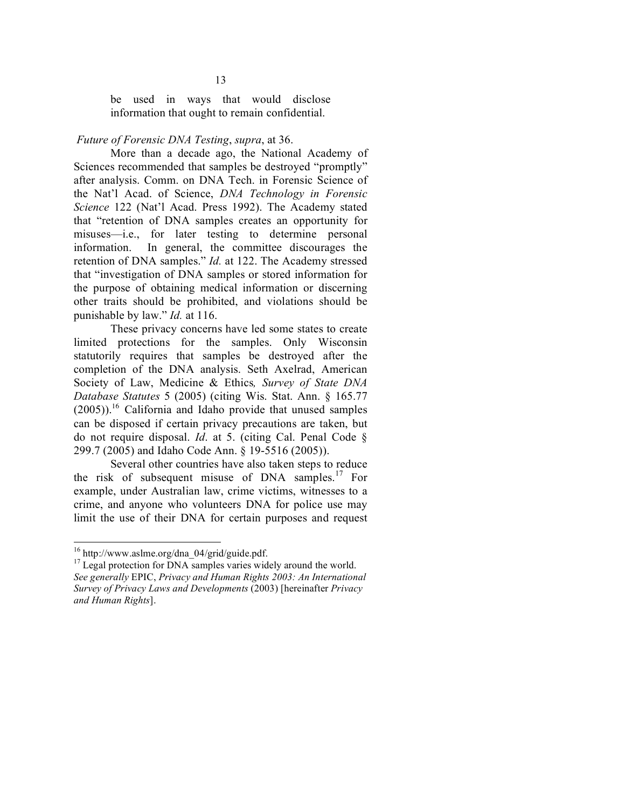be used in ways that would disclose information that ought to remain confidential.

#### *Future of Forensic DNA Testing*, *supra*, at 36.

More than a decade ago, the National Academy of Sciences recommended that samples be destroyed "promptly" after analysis. Comm. on DNA Tech. in Forensic Science of the Nat'l Acad. of Science, *DNA Technology in Forensic Science* 122 (Nat'l Acad. Press 1992). The Academy stated that "retention of DNA samples creates an opportunity for misuses—i.e., for later testing to determine personal information. In general, the committee discourages the retention of DNA samples." *Id.* at 122. The Academy stressed that "investigation of DNA samples or stored information for the purpose of obtaining medical information or discerning other traits should be prohibited, and violations should be punishable by law." *Id.* at 116.

These privacy concerns have led some states to create limited protections for the samples. Only Wisconsin statutorily requires that samples be destroyed after the completion of the DNA analysis. Seth Axelrad, American Society of Law, Medicine & Ethics*, Survey of State DNA Database Statutes* 5 (2005) (citing Wis. Stat. Ann. § 165.77 (2005)). <sup>16</sup> California and Idaho provide that unused samples can be disposed if certain privacy precautions are taken, but do not require disposal. *Id*. at 5. (citing Cal. Penal Code § 299.7 (2005) and Idaho Code Ann. § 19-5516 (2005)).

Several other countries have also taken steps to reduce the risk of subsequent misuse of DNA samples. <sup>17</sup> For example, under Australian law, crime victims, witnesses to a crime, and anyone who volunteers DNA for police use may limit the use of their DNA for certain purposes and request

<sup>&</sup>lt;sup>16</sup> http://www.aslme.org/dna\_04/grid/guide.pdf.  $17$  Legal protection for DNA samples varies widely around the world. *See generally* EPIC, *Privacy and Human Rights 2003: An International Survey of Privacy Laws and Developments* (2003) [hereinafter *Privacy and Human Rights*].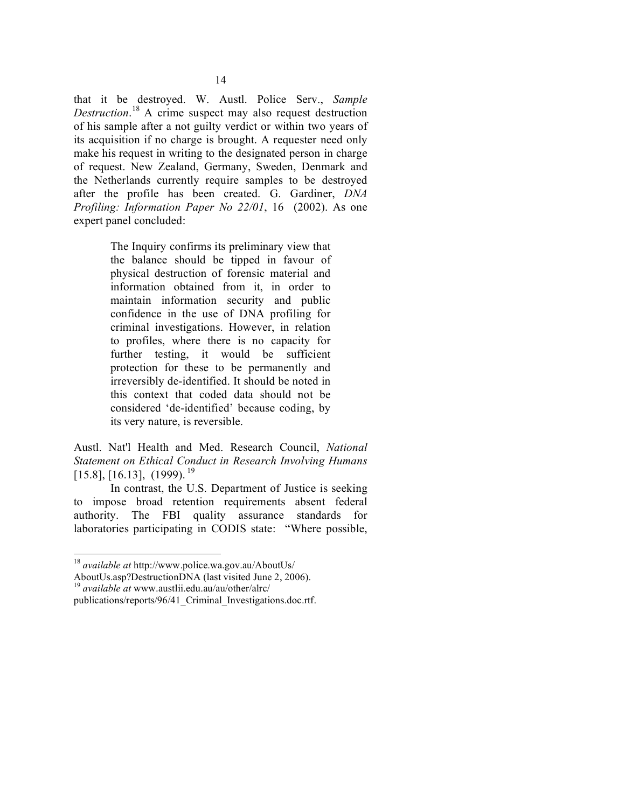that it be destroyed. W. Austl. Police Serv., *Sample Destruction*. <sup>18</sup> A crime suspect may also request destruction of his sample after a not guilty verdict or within two years of its acquisition if no charge is brought. A requester need only make his request in writing to the designated person in charge of request. New Zealand, Germany, Sweden, Denmark and the Netherlands currently require samples to be destroyed after the profile has been created. G. Gardiner, *DNA Profiling: Information Paper No 22/01*, 16 (2002). As one expert panel concluded:

> The Inquiry confirms its preliminary view that the balance should be tipped in favour of physical destruction of forensic material and information obtained from it, in order to maintain information security and public confidence in the use of DNA profiling for criminal investigations. However, in relation to profiles, where there is no capacity for further testing, it would be sufficient protection for these to be permanently and irreversibly de-identified. It should be noted in this context that coded data should not be considered 'de-identified' because coding, by its very nature, is reversible.

Austl. Nat'l Health and Med. Research Council, *National Statement on Ethical Conduct in Research Involving Humans* [15.8], [16.13], (1999). 19

In contrast, the U.S. Department of Justice is seeking to impose broad retention requirements absent federal authority. The FBI quality assurance standards for laboratories participating in CODIS state: "Where possible,

<sup>&</sup>lt;sup>18</sup> *available at* http://www.police.wa.gov.au/AboutUs/<br>AboutUs.asp?DestructionDNA (last visited June 2, 2006).

<sup>&</sup>lt;sup>19</sup> available at www.austlii.edu.au/au/other/alrc/

publications/reports/96/41\_Criminal\_Investigations.doc.rtf.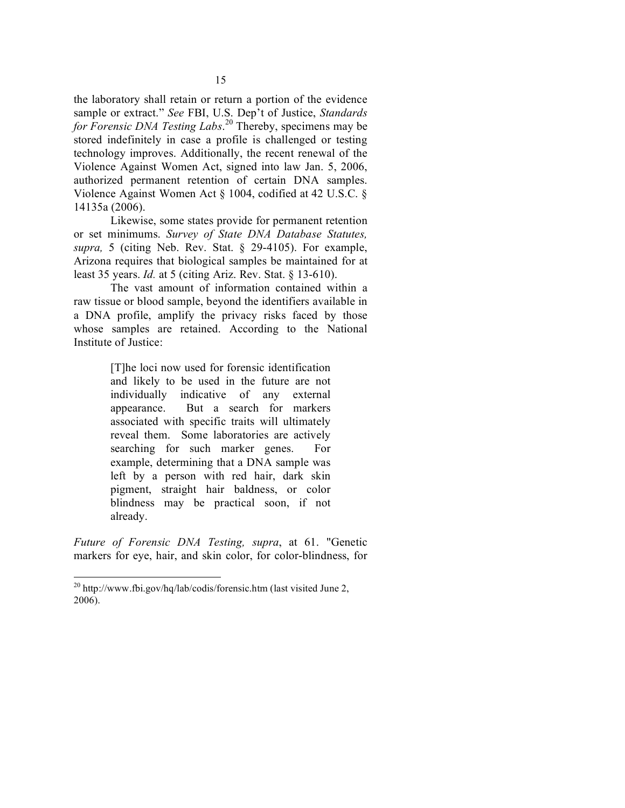the laboratory shall retain or return a portion of the evidence sample or extract." *See* FBI, U.S. Dep't of Justice, *Standards for Forensic DNA Testing Labs*. <sup>20</sup> Thereby, specimens may be stored indefinitely in case a profile is challenged or testing technology improves. Additionally, the recent renewal of the Violence Against Women Act, signed into law Jan. 5, 2006, authorized permanent retention of certain DNA samples. Violence Against Women Act § 1004, codified at 42 U.S.C. § 14135a (2006).

Likewise, some states provide for permanent retention or set minimums. *Survey of State DNA Database Statutes, supra,* 5 (citing Neb. Rev. Stat. § 29-4105). For example, Arizona requires that biological samples be maintained for at least 35 years. *Id.* at 5 (citing Ariz. Rev. Stat. § 13-610).

The vast amount of information contained within a raw tissue or blood sample, beyond the identifiers available in a DNA profile, amplify the privacy risks faced by those whose samples are retained. According to the National Institute of Justice:

> [T]he loci now used for forensic identification and likely to be used in the future are not individually indicative of any external appearance. But a search for markers associated with specific traits will ultimately reveal them. Some laboratories are actively searching for such marker genes. For example, determining that a DNA sample was left by a person with red hair, dark skin pigment, straight hair baldness, or color blindness may be practical soon, if not already.

*Future of Forensic DNA Testing, supra*, at 61. "Genetic markers for eye, hair, and skin color, for color-blindness, for

 <sup>20</sup> http://www.fbi.gov/hq/lab/codis/forensic.htm (last visited June 2, 2006).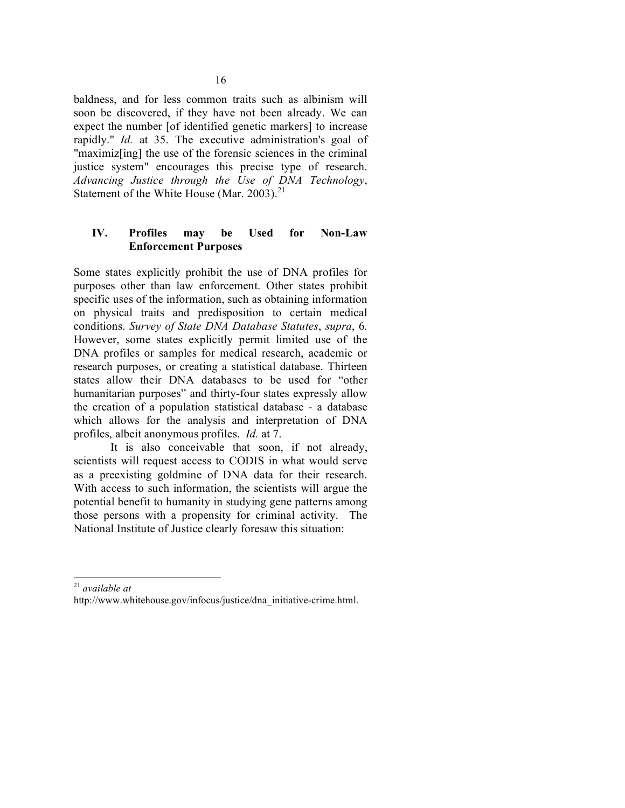baldness, and for less common traits such as albinism will soon be discovered, if they have not been already. We can expect the number [of identified genetic markers] to increase rapidly." *Id.* at 35. The executive administration's goal of "maximiz[ing] the use of the forensic sciences in the criminal justice system" encourages this precise type of research. *Advancing Justice through the Use of DNA Technology*, Statement of the White House (Mar. 2003).<sup>21</sup>

# **IV. Profiles may be Used for Non-Law Enforcement Purposes**

Some states explicitly prohibit the use of DNA profiles for purposes other than law enforcement. Other states prohibit specific uses of the information, such as obtaining information on physical traits and predisposition to certain medical conditions. *Survey of State DNA Database Statutes*, *supra*, 6*.* However, some states explicitly permit limited use of the DNA profiles or samples for medical research, academic or research purposes, or creating a statistical database. Thirteen states allow their DNA databases to be used for "other humanitarian purposes" and thirty-four states expressly allow the creation of a population statistical database - a database which allows for the analysis and interpretation of DNA profiles, albeit anonymous profiles. *Id.* at 7.

It is also conceivable that soon, if not already, scientists will request access to CODIS in what would serve as a preexisting goldmine of DNA data for their research. With access to such information, the scientists will argue the potential benefit to humanity in studying gene patterns among those persons with a propensity for criminal activity. The National Institute of Justice clearly foresaw this situation:

21 *available at*

http://www.whitehouse.gov/infocus/justice/dna\_initiative-crime.html.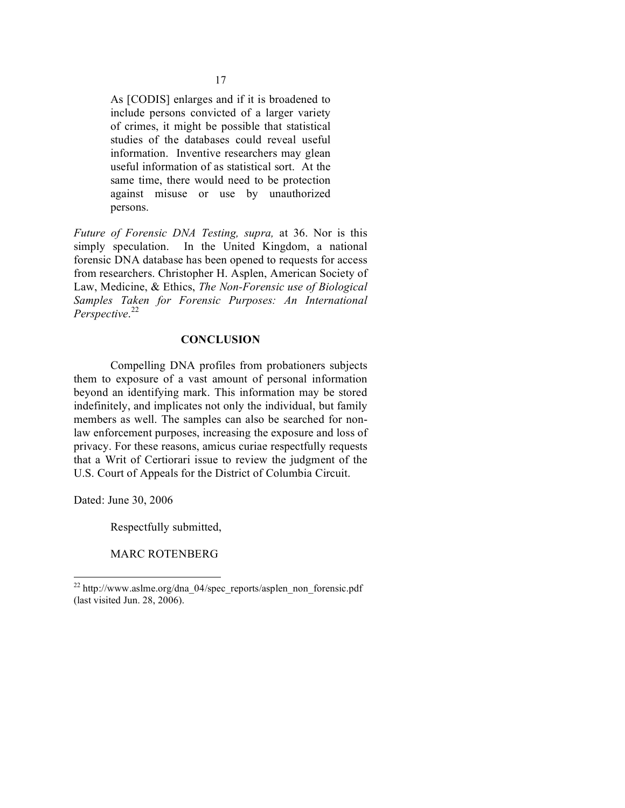As [CODIS] enlarges and if it is broadened to include persons convicted of a larger variety of crimes, it might be possible that statistical studies of the databases could reveal useful information. Inventive researchers may glean useful information of as statistical sort. At the same time, there would need to be protection against misuse or use by unauthorized persons.

*Future of Forensic DNA Testing, supra,* at 36. Nor is this simply speculation. In the United Kingdom, a national forensic DNA database has been opened to requests for access from researchers. Christopher H. Asplen, American Society of Law, Medicine, & Ethics, *The Non-Forensic use of Biological Samples Taken for Forensic Purposes: An International Perspective*. 22

### **CONCLUSION**

Compelling DNA profiles from probationers subjects them to exposure of a vast amount of personal information beyond an identifying mark. This information may be stored indefinitely, and implicates not only the individual, but family members as well. The samples can also be searched for nonlaw enforcement purposes, increasing the exposure and loss of privacy. For these reasons, amicus curiae respectfully requests that a Writ of Certiorari issue to review the judgment of the U.S. Court of Appeals for the District of Columbia Circuit.

Dated: June 30, 2006

Respectfully submitted,

MARC ROTENBERG

 $^{22}$  http://www.aslme.org/dna\_04/spec\_reports/asplen\_non\_forensic.pdf (last visited Jun. 28, 2006).